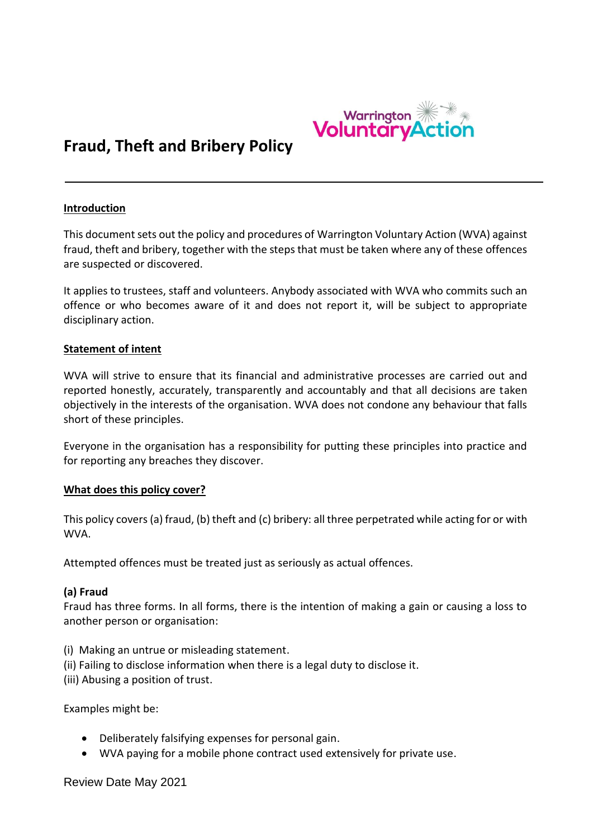

# **Fraud, Theft and Bribery Policy**

#### **Introduction**

This document sets out the policy and procedures of Warrington Voluntary Action (WVA) against fraud, theft and bribery, together with the steps that must be taken where any of these offences are suspected or discovered.

It applies to trustees, staff and volunteers. Anybody associated with WVA who commits such an offence or who becomes aware of it and does not report it, will be subject to appropriate disciplinary action.

#### **Statement of intent**

WVA will strive to ensure that its financial and administrative processes are carried out and reported honestly, accurately, transparently and accountably and that all decisions are taken objectively in the interests of the organisation. WVA does not condone any behaviour that falls short of these principles.

Everyone in the organisation has a responsibility for putting these principles into practice and for reporting any breaches they discover.

#### **What does this policy cover?**

This policy covers (a) fraud, (b) theft and (c) bribery: all three perpetrated while acting for or with WVA.

Attempted offences must be treated just as seriously as actual offences.

## **(a) Fraud**

Fraud has three forms. In all forms, there is the intention of making a gain or causing a loss to another person or organisation:

- (i) Making an untrue or misleading statement.
- (ii) Failing to disclose information when there is a legal duty to disclose it.

(iii) Abusing a position of trust.

Examples might be:

- Deliberately falsifying expenses for personal gain.
- WVA paying for a mobile phone contract used extensively for private use.

Review Date May 2021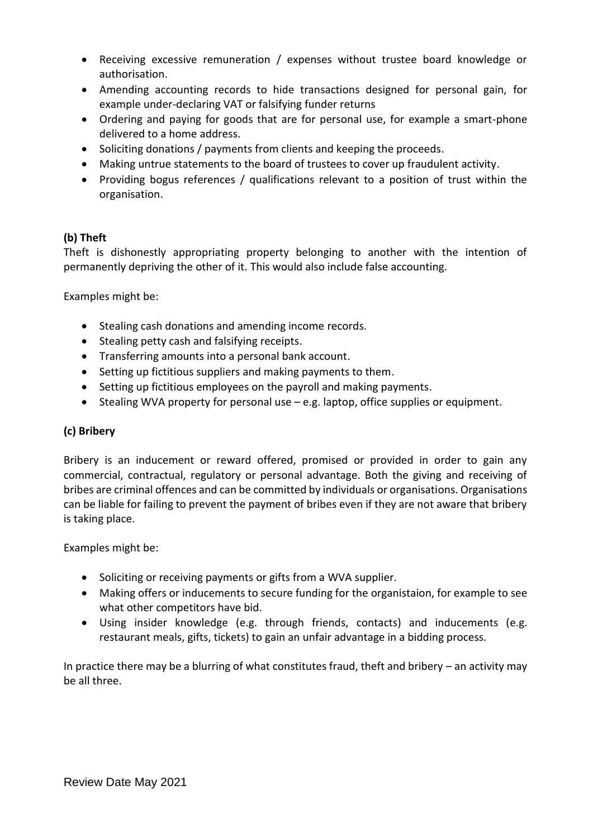- Receiving excessive remuneration / expenses without trustee board knowledge or authorisation.
- Amending accounting records to hide transactions designed for personal gain, for example under-declaring VAT or falsifying funder returns
- Ordering and paying for goods that are for personal use, for example a smart-phone delivered to a home address.
- Soliciting donations / payments from clients and keeping the proceeds.
- Making untrue statements to the board of trustees to cover up fraudulent activity.
- Providing bogus references / qualifications relevant to a position of trust within the organisation.

# **(b) Theft**

Theft is dishonestly appropriating property belonging to another with the intention of permanently depriving the other of it. This would also include false accounting.

Examples might be:

- Stealing cash donations and amending income records.
- Stealing petty cash and falsifying receipts.
- Transferring amounts into a personal bank account.
- Setting up fictitious suppliers and making payments to them.
- Setting up fictitious employees on the payroll and making payments.
- Stealing WVA property for personal use e.g. laptop, office supplies or equipment.

# **(c) Bribery**

Bribery is an inducement or reward offered, promised or provided in order to gain any commercial, contractual, regulatory or personal advantage. Both the giving and receiving of bribes are criminal offences and can be committed by individuals or organisations. Organisations can be liable for failing to prevent the payment of bribes even if they are not aware that bribery is taking place.

Examples might be:

- Soliciting or receiving payments or gifts from a WVA supplier.
- Making offers or inducements to secure funding for the organistaion, for example to see what other competitors have bid.
- Using insider knowledge (e.g. through friends, contacts) and inducements (e.g. restaurant meals, gifts, tickets) to gain an unfair advantage in a bidding process.

In practice there may be a blurring of what constitutes fraud, theft and bribery – an activity may be all three.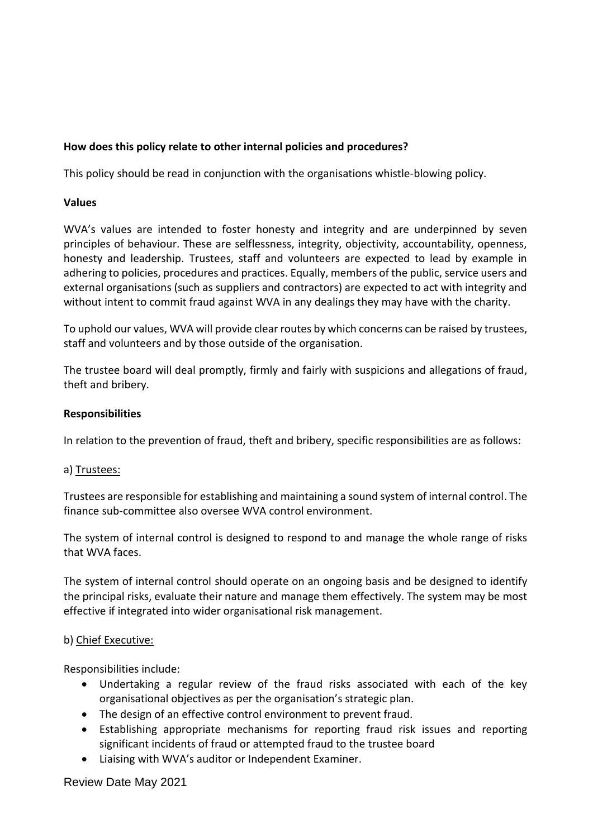## **How does this policy relate to other internal policies and procedures?**

This policy should be read in conjunction with the organisations whistle-blowing policy.

#### **Values**

WVA's values are intended to foster honesty and integrity and are underpinned by seven principles of behaviour. These are selflessness, integrity, objectivity, accountability, openness, honesty and leadership. Trustees, staff and volunteers are expected to lead by example in adhering to policies, procedures and practices. Equally, members of the public, service users and external organisations (such as suppliers and contractors) are expected to act with integrity and without intent to commit fraud against WVA in any dealings they may have with the charity.

To uphold our values, WVA will provide clear routes by which concerns can be raised by trustees, staff and volunteers and by those outside of the organisation.

The trustee board will deal promptly, firmly and fairly with suspicions and allegations of fraud, theft and bribery.

#### **Responsibilities**

In relation to the prevention of fraud, theft and bribery, specific responsibilities are as follows:

#### a) Trustees:

Trustees are responsible for establishing and maintaining a sound system of internal control. The finance sub-committee also oversee WVA control environment.

The system of internal control is designed to respond to and manage the whole range of risks that WVA faces.

The system of internal control should operate on an ongoing basis and be designed to identify the principal risks, evaluate their nature and manage them effectively. The system may be most effective if integrated into wider organisational risk management.

#### b) Chief Executive:

Responsibilities include:

- Undertaking a regular review of the fraud risks associated with each of the key organisational objectives as per the organisation's strategic plan.
- The design of an effective control environment to prevent fraud.
- Establishing appropriate mechanisms for reporting fraud risk issues and reporting significant incidents of fraud or attempted fraud to the trustee board
- Liaising with WVA's auditor or Independent Examiner.

## Review Date May 2021